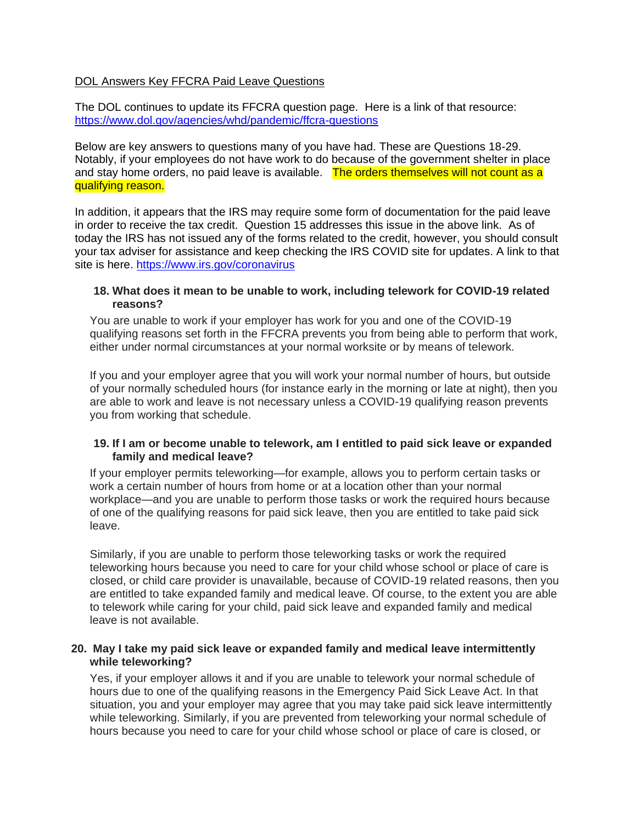## DOL Answers Key FFCRA Paid Leave Questions

The DOL continues to update its FFCRA question page. Here is a link of that resource: <https://www.dol.gov/agencies/whd/pandemic/ffcra-questions>

Below are key answers to questions many of you have had. These are Questions 18-29. Notably, if your employees do not have work to do because of the government shelter in place and stay home orders, no paid leave is available. The orders themselves will not count as a qualifying reason.

In addition, it appears that the IRS may require some form of documentation for the paid leave in order to receive the tax credit. Question 15 addresses this issue in the above link. As of today the IRS has not issued any of the forms related to the credit, however, you should consult your tax adviser for assistance and keep checking the IRS COVID site for updates. A link to that site is here.<https://www.irs.gov/coronavirus>

#### **18. What does it mean to be unable to work, including telework for COVID-19 related reasons?**

You are unable to work if your employer has work for you and one of the COVID-19 qualifying reasons set forth in the FFCRA prevents you from being able to perform that work, either under normal circumstances at your normal worksite or by means of telework.

If you and your employer agree that you will work your normal number of hours, but outside of your normally scheduled hours (for instance early in the morning or late at night), then you are able to work and leave is not necessary unless a COVID-19 qualifying reason prevents you from working that schedule.

# **19. If I am or become unable to telework, am I entitled to paid sick leave or expanded family and medical leave?**

If your employer permits teleworking—for example, allows you to perform certain tasks or work a certain number of hours from home or at a location other than your normal workplace—and you are unable to perform those tasks or work the required hours because of one of the qualifying reasons for paid sick leave, then you are entitled to take paid sick leave.

Similarly, if you are unable to perform those teleworking tasks or work the required teleworking hours because you need to care for your child whose school or place of care is closed, or child care provider is unavailable, because of COVID-19 related reasons, then you are entitled to take expanded family and medical leave. Of course, to the extent you are able to telework while caring for your child, paid sick leave and expanded family and medical leave is not available.

# **20. May I take my paid sick leave or expanded family and medical leave intermittently while teleworking?**

Yes, if your employer allows it and if you are unable to telework your normal schedule of hours due to one of the qualifying reasons in the Emergency Paid Sick Leave Act. In that situation, you and your employer may agree that you may take paid sick leave intermittently while teleworking. Similarly, if you are prevented from teleworking your normal schedule of hours because you need to care for your child whose school or place of care is closed, or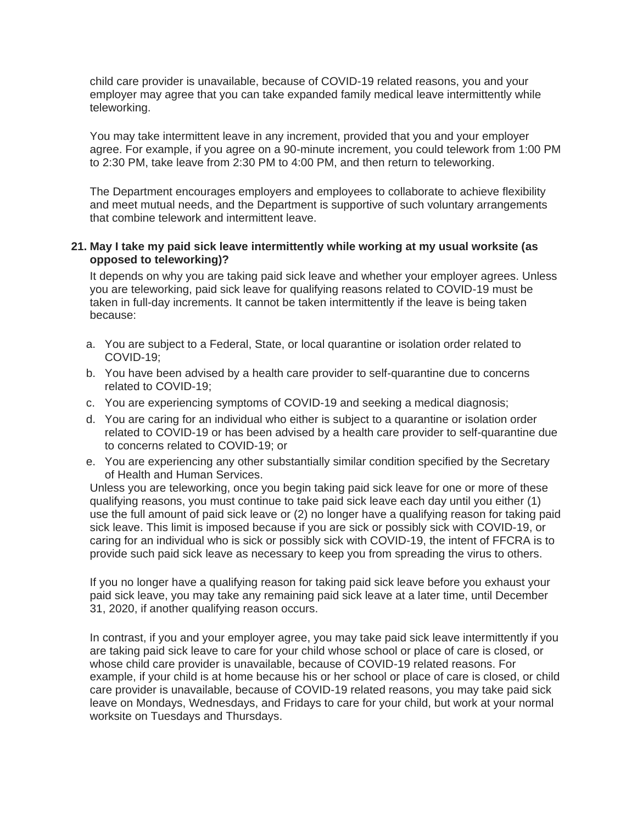child care provider is unavailable, because of COVID-19 related reasons, you and your employer may agree that you can take expanded family medical leave intermittently while teleworking.

You may take intermittent leave in any increment, provided that you and your employer agree. For example, if you agree on a 90-minute increment, you could telework from 1:00 PM to 2:30 PM, take leave from 2:30 PM to 4:00 PM, and then return to teleworking.

The Department encourages employers and employees to collaborate to achieve flexibility and meet mutual needs, and the Department is supportive of such voluntary arrangements that combine telework and intermittent leave.

# **21. May I take my paid sick leave intermittently while working at my usual worksite (as opposed to teleworking)?**

It depends on why you are taking paid sick leave and whether your employer agrees. Unless you are teleworking, paid sick leave for qualifying reasons related to COVID-19 must be taken in full-day increments. It cannot be taken intermittently if the leave is being taken because:

- a. You are subject to a Federal, State, or local quarantine or isolation order related to COVID-19;
- b. You have been advised by a health care provider to self-quarantine due to concerns related to COVID-19;
- c. You are experiencing symptoms of COVID-19 and seeking a medical diagnosis;
- d. You are caring for an individual who either is subject to a quarantine or isolation order related to COVID-19 or has been advised by a health care provider to self-quarantine due to concerns related to COVID-19; or
- e. You are experiencing any other substantially similar condition specified by the Secretary of Health and Human Services.

Unless you are teleworking, once you begin taking paid sick leave for one or more of these qualifying reasons, you must continue to take paid sick leave each day until you either (1) use the full amount of paid sick leave or (2) no longer have a qualifying reason for taking paid sick leave. This limit is imposed because if you are sick or possibly sick with COVID-19, or caring for an individual who is sick or possibly sick with COVID-19, the intent of FFCRA is to provide such paid sick leave as necessary to keep you from spreading the virus to others.

If you no longer have a qualifying reason for taking paid sick leave before you exhaust your paid sick leave, you may take any remaining paid sick leave at a later time, until December 31, 2020, if another qualifying reason occurs.

In contrast, if you and your employer agree, you may take paid sick leave intermittently if you are taking paid sick leave to care for your child whose school or place of care is closed, or whose child care provider is unavailable, because of COVID-19 related reasons. For example, if your child is at home because his or her school or place of care is closed, or child care provider is unavailable, because of COVID-19 related reasons, you may take paid sick leave on Mondays, Wednesdays, and Fridays to care for your child, but work at your normal worksite on Tuesdays and Thursdays.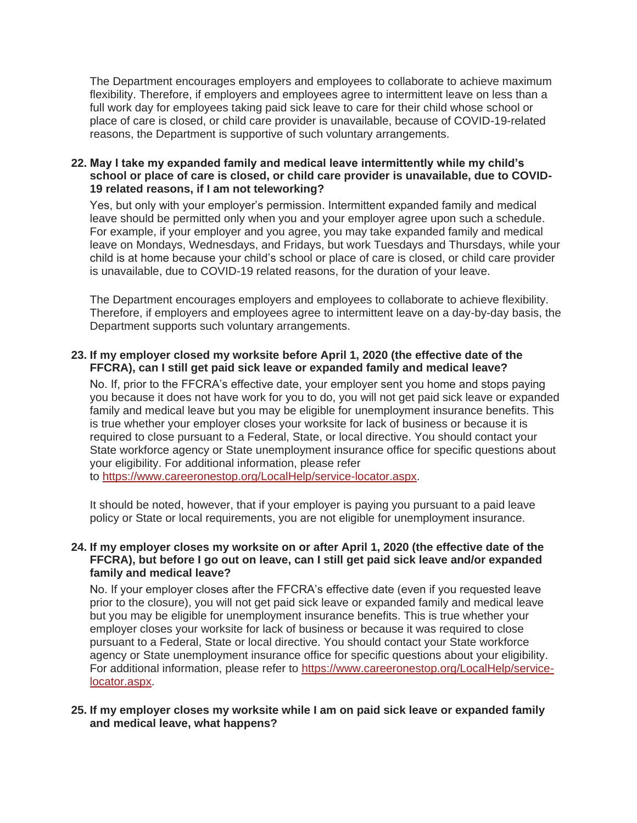The Department encourages employers and employees to collaborate to achieve maximum flexibility. Therefore, if employers and employees agree to intermittent leave on less than a full work day for employees taking paid sick leave to care for their child whose school or place of care is closed, or child care provider is unavailable, because of COVID-19-related reasons, the Department is supportive of such voluntary arrangements.

# **22. May I take my expanded family and medical leave intermittently while my child's school or place of care is closed, or child care provider is unavailable, due to COVID-19 related reasons, if I am not teleworking?**

Yes, but only with your employer's permission. Intermittent expanded family and medical leave should be permitted only when you and your employer agree upon such a schedule. For example, if your employer and you agree, you may take expanded family and medical leave on Mondays, Wednesdays, and Fridays, but work Tuesdays and Thursdays, while your child is at home because your child's school or place of care is closed, or child care provider is unavailable, due to COVID-19 related reasons, for the duration of your leave.

The Department encourages employers and employees to collaborate to achieve flexibility. Therefore, if employers and employees agree to intermittent leave on a day-by-day basis, the Department supports such voluntary arrangements.

# **23. If my employer closed my worksite before April 1, 2020 (the effective date of the FFCRA), can I still get paid sick leave or expanded family and medical leave?**

No. If, prior to the FFCRA's effective date, your employer sent you home and stops paying you because it does not have work for you to do, you will not get paid sick leave or expanded family and medical leave but you may be eligible for unemployment insurance benefits. This is true whether your employer closes your worksite for lack of business or because it is required to close pursuant to a Federal, State, or local directive. You should contact your State workforce agency or State unemployment insurance office for specific questions about your eligibility. For additional information, please refer

to [https://www.careeronestop.org/LocalHelp/service-locator.aspx.](https://www.careeronestop.org/LocalHelp/service-locator.aspx)

It should be noted, however, that if your employer is paying you pursuant to a paid leave policy or State or local requirements, you are not eligible for unemployment insurance.

# **24. If my employer closes my worksite on or after April 1, 2020 (the effective date of the FFCRA), but before I go out on leave, can I still get paid sick leave and/or expanded family and medical leave?**

No. If your employer closes after the FFCRA's effective date (even if you requested leave prior to the closure), you will not get paid sick leave or expanded family and medical leave but you may be eligible for unemployment insurance benefits. This is true whether your employer closes your worksite for lack of business or because it was required to close pursuant to a Federal, State or local directive. You should contact your State workforce agency or State unemployment insurance office for specific questions about your eligibility. For additional information, please refer to [https://www.careeronestop.org/LocalHelp/service](https://www.careeronestop.org/LocalHelp/service-locator.aspx)[locator.aspx.](https://www.careeronestop.org/LocalHelp/service-locator.aspx)

# **25. If my employer closes my worksite while I am on paid sick leave or expanded family and medical leave, what happens?**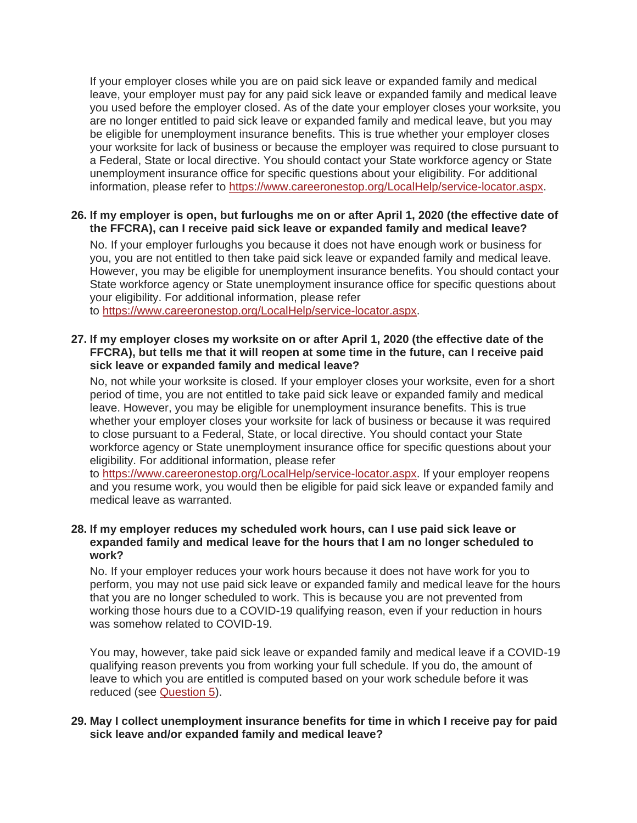If your employer closes while you are on paid sick leave or expanded family and medical leave, your employer must pay for any paid sick leave or expanded family and medical leave you used before the employer closed. As of the date your employer closes your worksite, you are no longer entitled to paid sick leave or expanded family and medical leave, but you may be eligible for unemployment insurance benefits. This is true whether your employer closes your worksite for lack of business or because the employer was required to close pursuant to a Federal, State or local directive. You should contact your State workforce agency or State unemployment insurance office for specific questions about your eligibility. For additional information, please refer to [https://www.careeronestop.org/LocalHelp/service-locator.aspx.](https://www.careeronestop.org/LocalHelp/service-locator.aspx)

# **26. If my employer is open, but furloughs me on or after April 1, 2020 (the effective date of the FFCRA), can I receive paid sick leave or expanded family and medical leave?**

No. If your employer furloughs you because it does not have enough work or business for you, you are not entitled to then take paid sick leave or expanded family and medical leave. However, you may be eligible for unemployment insurance benefits. You should contact your State workforce agency or State unemployment insurance office for specific questions about your eligibility. For additional information, please refer to [https://www.careeronestop.org/LocalHelp/service-locator.aspx.](https://www.careeronestop.org/LocalHelp/service-locator.aspx)

### **27. If my employer closes my worksite on or after April 1, 2020 (the effective date of the FFCRA), but tells me that it will reopen at some time in the future, can I receive paid sick leave or expanded family and medical leave?**

No, not while your worksite is closed. If your employer closes your worksite, even for a short period of time, you are not entitled to take paid sick leave or expanded family and medical leave. However, you may be eligible for unemployment insurance benefits. This is true whether your employer closes your worksite for lack of business or because it was required to close pursuant to a Federal, State, or local directive. You should contact your State workforce agency or State unemployment insurance office for specific questions about your eligibility. For additional information, please refer

to [https://www.careeronestop.org/LocalHelp/service-locator.aspx.](https://www.careeronestop.org/LocalHelp/service-locator.aspx) If your employer reopens and you resume work, you would then be eligible for paid sick leave or expanded family and medical leave as warranted.

### **28. If my employer reduces my scheduled work hours, can I use paid sick leave or expanded family and medical leave for the hours that I am no longer scheduled to work?**

No. If your employer reduces your work hours because it does not have work for you to perform, you may not use paid sick leave or expanded family and medical leave for the hours that you are no longer scheduled to work. This is because you are not prevented from working those hours due to a COVID-19 qualifying reason, even if your reduction in hours was somehow related to COVID-19.

You may, however, take paid sick leave or expanded family and medical leave if a COVID-19 qualifying reason prevents you from working your full schedule. If you do, the amount of leave to which you are entitled is computed based on your work schedule before it was reduced (see [Question 5\)](https://www.dol.gov/agencies/whd/pandemic/ffcra-questions#5).

# **29. May I collect unemployment insurance benefits for time in which I receive pay for paid sick leave and/or expanded family and medical leave?**